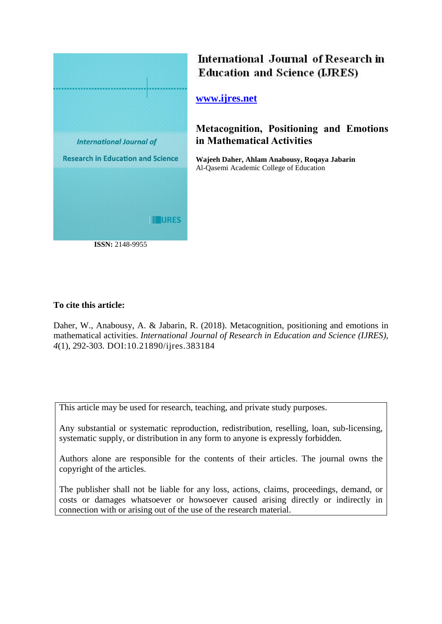

# International Journal of Research in **Education and Science (LJRES)**

**[www.ijres.net](http://www.ijres.net/)**

## **Metacognition, Positioning and Emotions in Mathematical Activities**

**Wajeeh Daher, Ahlam Anabousy, Roqaya Jabarin** Al-Qasemi Academic College of Education

## **To cite this article:**

Daher, W., Anabousy, A. & Jabarin, R. (2018). Metacognition, positioning and emotions in mathematical activities. *International Journal of Research in Education and Science (IJRES), 4*(1), 292-303. DOI:10.21890/ijres.383184

This article may be used for research, teaching, and private study purposes.

Any substantial or systematic reproduction, redistribution, reselling, loan, sub-licensing, systematic supply, or distribution in any form to anyone is expressly forbidden.

Authors alone are responsible for the contents of their articles. The journal owns the copyright of the articles.

The publisher shall not be liable for any loss, actions, claims, proceedings, demand, or costs or damages whatsoever or howsoever caused arising directly or indirectly in connection with or arising out of the use of the research material.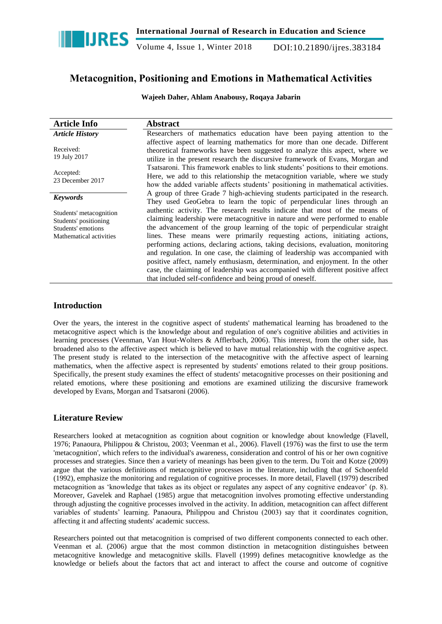

Volume 4, Issue 1, Winter 2018 DOI:10.21890/ijres.383184

## **Metacognition, Positioning and Emotions in Mathematical Activities**

**Wajeeh Daher, Ahlam Anabousy, Roqaya Jabarin**

| <b>Article Info</b>                                                                               | <b>Abstract</b>                                                                                                                                                                                                                                                                                                                                                                                                                                                                                                                                                                                                                                                                                                                |  |
|---------------------------------------------------------------------------------------------------|--------------------------------------------------------------------------------------------------------------------------------------------------------------------------------------------------------------------------------------------------------------------------------------------------------------------------------------------------------------------------------------------------------------------------------------------------------------------------------------------------------------------------------------------------------------------------------------------------------------------------------------------------------------------------------------------------------------------------------|--|
| <b>Article History</b>                                                                            | Researchers of mathematics education have been paying attention to the                                                                                                                                                                                                                                                                                                                                                                                                                                                                                                                                                                                                                                                         |  |
| Received:<br>19 July 2017                                                                         | affective aspect of learning mathematics for more than one decade. Different<br>theoretical frameworks have been suggested to analyze this aspect, where we<br>utilize in the present research the discursive framework of Evans, Morgan and                                                                                                                                                                                                                                                                                                                                                                                                                                                                                   |  |
| Accepted:<br>23 December 2017                                                                     | Tsatsaroni. This framework enables to link students' positions to their emotions.<br>Here, we add to this relationship the metacognition variable, where we study<br>how the added variable affects students' positioning in mathematical activities.                                                                                                                                                                                                                                                                                                                                                                                                                                                                          |  |
| <b>Keywords</b>                                                                                   | A group of three Grade 7 high-achieving students participated in the research.<br>They used GeoGebra to learn the topic of perpendicular lines through an                                                                                                                                                                                                                                                                                                                                                                                                                                                                                                                                                                      |  |
| Students' metacognition<br>Students' positioning<br>Students' emotions<br>Mathematical activities | authentic activity. The research results indicate that most of the means of<br>claiming leadership were metacognitive in nature and were performed to enable<br>the advancement of the group learning of the topic of perpendicular straight<br>lines. These means were primarily requesting actions, initiating actions,<br>performing actions, declaring actions, taking decisions, evaluation, monitoring<br>and regulation. In one case, the claiming of leadership was accompanied with<br>positive affect, namely enthusiasm, determination, and enjoyment. In the other<br>case, the claiming of leadership was accompanied with different positive affect<br>that included self-confidence and being proud of oneself. |  |

## **Introduction**

Over the years, the interest in the cognitive aspect of students' mathematical learning has broadened to the metacognitive aspect which is the knowledge about and regulation of one's cognitive abilities and activities in learning processes (Veenman, Van Hout-Wolters & Afflerbach, 2006). This interest, from the other side, has broadened also to the affective aspect which is believed to have mutual relationship with the cognitive aspect. The present study is related to the intersection of the metacognitive with the affective aspect of learning mathematics, when the affective aspect is represented by students' emotions related to their group positions. Specifically, the present study examines the effect of students' metacognitive processes on their positioning and related emotions, where these positioning and emotions are examined utilizing the discursive framework developed by Evans, Morgan and Tsatsaroni (2006).

## **Literature Review**

Researchers looked at metacognition as cognition about cognition or knowledge about knowledge (Flavell, 1976; Panaoura, Philippou & Christou, 2003; Veenman et al., 2006). Flavell (1976) was the first to use the term 'metacognition', which refers to the individual's awareness, consideration and control of his or her own cognitive processes and strategies. Since then a variety of meanings has been given to the term. Du Toit and Kotze (2009) argue that the various definitions of metacognitive processes in the literature, including that of Schoenfeld (1992), emphasize the monitoring and regulation of cognitive processes. In more detail, Flavell (1979) described metacognition as "knowledge that takes as its object or regulates any aspect of any cognitive endeavor" (p. 8). Moreover, Gavelek and Raphael (1985) argue that metacognition involves promoting effective understanding through adjusting the cognitive processes involved in the activity. In addition, metacognition can affect different variables of students" learning. Panaoura, Philippou and Christou (2003) say that it coordinates cognition, affecting it and affecting students' academic success.

Researchers pointed out that metacognition is comprised of two different components connected to each other. Veenman et al. (2006) argue that the most common distinction in metacognition distinguishes between metacognitive knowledge and metacognitive skills. Flavell (1999) defines metacognitive knowledge as the knowledge or beliefs about the factors that act and interact to affect the course and outcome of cognitive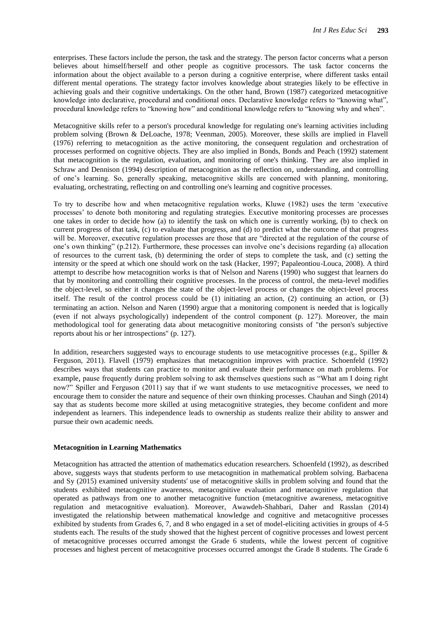enterprises. These factors include the person, the task and the strategy. The person factor concerns what a person believes about himself/herself and other people as cognitive processors. The task factor concerns the information about the object available to a person during a cognitive enterprise, where different tasks entail different mental operations. The strategy factor involves knowledge about strategies likely to be effective in achieving goals and their cognitive undertakings. On the other hand, Brown (1987) categorized metacognitive knowledge into declarative, procedural and conditional ones. Declarative knowledge refers to "knowing what", procedural knowledge refers to "knowing how" and conditional knowledge refers to "knowing why and when".

Metacognitive skills refer to a person's procedural knowledge for regulating one's learning activities including problem solving (Brown & DeLoache, 1978; Veenman, 2005). Moreover, these skills are implied in Flavell (1976) referring to metacognition as the active monitoring, the consequent regulation and orchestration of processes performed on cognitive objects. They are also implied in Bonds, Bonds and Peach (1992) statement that metacognition is the regulation, evaluation, and monitoring of one's thinking. They are also implied in Schraw and Dennison (1994) description of metacognition as the reflection on, understanding, and controlling of one"s learning. So, generally speaking, metacognitive skills are concerned with planning, monitoring, evaluating, orchestrating, reflecting on and controlling one's learning and cognitive processes.

To try to describe how and when metacognitive regulation works, Kluwe (1982) uses the term "executive processes" to denote both monitoring and regulating strategies. Executive monitoring processes are processes one takes in order to decide how (a) to identify the task on which one is currently working, (b) to check on current progress of that task, (c) to evaluate that progress, and (d) to predict what the outcome of that progress will be. Moreover, executive regulation processes are those that are "directed at the regulation of the course of one"s own thinking" (p.212). Furthermore, these processes can involve one"s decisions regarding (a) allocation of resources to the current task, (b) determining the order of steps to complete the task, and (c) setting the intensity or the speed at which one should work on the task (Hacker, 1997; Papaleontiou-Louca, 2008). A third attempt to describe how metacognition works is that of Nelson and Narens (1990) who suggest that learners do that by monitoring and controlling their cognitive processes. In the process of control, the meta-level modifies the object-level, so either it changes the state of the object-level process or changes the object-level process itself. The result of the control process could be  $(1)$  initiating an action,  $(2)$  continuing an action, or  $(3)$ terminating an action. Nelson and Naren (1990) argue that a monitoring component is needed that is logically (even if not always psychologically) independent of the control component (p. 127). Moreover, the main methodological tool for generating data about metacognitive monitoring consists of "the person's subjective reports about his or her introspections" (p. 127).

In addition, researchers suggested ways to encourage students to use metacognitive processes (e.g., Spiller & Ferguson, 2011). Flavell (1979) emphasizes that metacognition improves with practice. Schoenfeld (1992) describes ways that students can practice to monitor and evaluate their performance on math problems. For example, pause frequently during problem solving to ask themselves questions such as "What am I doing right now?" Spiller and Ferguson (2011) say that if we want students to use metacognitive processes, we need to encourage them to consider the nature and sequence of their own thinking processes. Chauhan and Singh (2014) say that as students become more skilled at using metacognitive strategies, they become confident and more independent as learners. This independence leads to ownership as students realize their ability to answer and pursue their own academic needs.

#### **Metacognition in Learning Mathematics**

Metacognition has attracted the attention of mathematics education researchers. Schoenfeld (1992), as described above, suggests ways that students perform to use metacognition in mathematical problem solving. Barbacena and Sy (2015) examined university students' use of metacognitive skills in problem solving and found that the students exhibited metacognitive awareness, metacognitive evaluation and metacognitive regulation that operated as pathways from one to another metacognitive function (metacognitive awareness, metacognitive regulation and metacognitive evaluation). Moreover, Awawdeh-Shahbari, Daher and Rasslan (2014) investigated the relationship between mathematical knowledge and cognitive and metacognitive processes exhibited by students from Grades 6, 7, and 8 who engaged in a set of model-eliciting activities in groups of 4-5 students each. The results of the study showed that the highest percent of cognitive processes and lowest percent of metacognitive processes occurred amongst the Grade 6 students, while the lowest percent of cognitive processes and highest percent of metacognitive processes occurred amongst the Grade 8 students. The Grade 6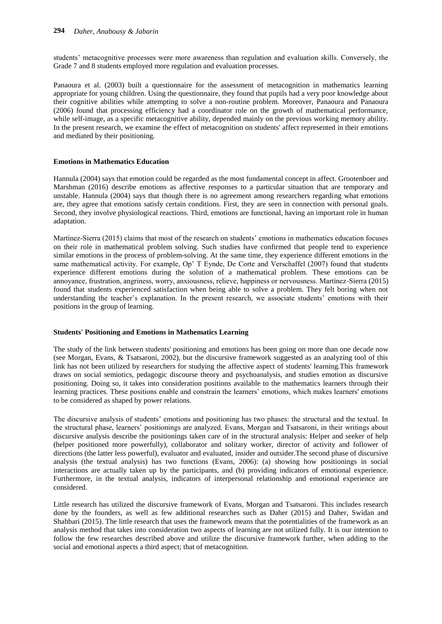students" metacognitive processes were more awareness than regulation and evaluation skills. Conversely, the Grade 7 and 8 students employed more regulation and evaluation processes.

Panaoura et al. (2003) built a questionnaire for the assessment of metacognition in mathematics learning appropriate for young children. Using the questionnaire, they found that pupils had a very poor knowledge about their cognitive abilities while attempting to solve a non-routine problem. Moreover, Panaoura and Panaoura (2006) found that processing efficiency had a coordinator role on the growth of mathematical performance, while self-image, as a specific metacognitive ability, depended mainly on the previous working memory ability. In the present research, we examine the effect of metacognition on students' affect represented in their emotions and mediated by their positioning.

#### **Emotions in Mathematics Education**

Hannula (2004) says that emotion could be regarded as the most fundamental concept in affect. Grootenboer and Marshman (2016) describe emotions as affective responses to a particular situation that are temporary and unstable. Hannula (2004) says that though there is no agreement among researchers regarding what emotions are, they agree that emotions satisfy certain conditions. First, they are seen in connection with personal goals. Second, they involve physiological reactions. Third, emotions are functional, having an important role in human adaptation.

Martínez-Sierra (2015) claims that most of the research on students" emotions in mathematics education focuses on their role in mathematical problem solving. Such studies have confirmed that people tend to experience similar emotions in the process of problem-solving. At the same time, they experience different emotions in the same mathematical activity. For example, Op' T Eynde, De Corte and Verschaffel (2007) found that students experience different emotions during the solution of a mathematical problem. These emotions can be annoyance, frustration, angriness, worry, anxiousness, relieve, happiness or nervousness. Martínez-Sierra (2015) found that students experienced satisfaction when being able to solve a problem. They felt boring when not understanding the teacher's explanation. In the present research, we associate students' emotions with their positions in the group of learning.

#### **Students' Positioning and Emotions in Mathematics Learning**

The study of the link between students' positioning and emotions has been going on more than one decade now (see Morgan, Evans, & Tsatsaroni, 2002), but the discursive framework suggested as an analyzing tool of this link has not been utilized by researchers for studying the affective aspect of students' learning.This framework draws on social semiotics, pedagogic discourse theory and psychoanalysis, and studies emotion as discursive positioning. Doing so, it takes into consideration positions available to the mathematics learners through their learning practices. These positions enable and constrain the learners" emotions, which makes learners' emotions to be considered as shaped by power relations.

The discursive analysis of students" emotions and positioning has two phases: the structural and the textual. In the structural phase, learners" positionings are analyzed. Evans, Morgan and Tsatsaroni, in their writings about discursive analysis describe the positionings taken care of in the structural analysis: Helper and seeker of help (helper positioned more powerfully), collaborator and solitary worker, director of activity and follower of directions (the latter less powerful), evaluator and evaluated, insider and outsider.The second phase of discursive analysis (the textual analysis) has two functions (Evans, 2006): (a) showing how positionings in social interactions are actually taken up by the participants, and (b) providing indicators of emotional experience. Furthermore, in the textual analysis, indicators of interpersonal relationship and emotional experience are considered.

Little research has utilized the discursive framework of Evans, Morgan and Tsatsaroni. This includes research done by the founders, as well as few additional researches such as Daher (2015) and Daher, Swidan and Shahbari (2015). The little research that uses the framework means that the potentialities of the framework as an analysis method that takes into consideration two aspects of learning are not utilized fully. It is our intention to follow the few researches described above and utilize the discursive framework further, when adding to the social and emotional aspects a third aspect; that of metacognition.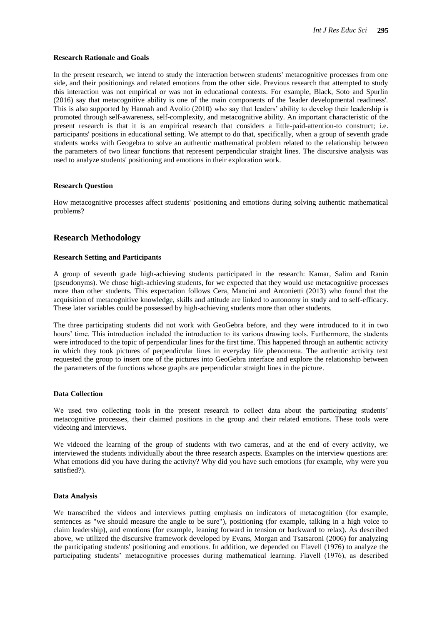#### **Research Rationale and Goals**

In the present research, we intend to study the interaction between students' metacognitive processes from one side, and their positionings and related emotions from the other side. Previous research that attempted to study this interaction was not empirical or was not in educational contexts. For example, Black, Soto and Spurlin (2016) say that metacognitive ability is one of the main components of the 'leader developmental readiness'. This is also supported by Hannah and Avolio (2010) who say that leaders" ability to develop their leadership is promoted through self-awareness, self-complexity, and metacognitive ability. An important characteristic of the present research is that it is an empirical research that considers a little-paid-attention-to construct; i.e. participants' positions in educational setting. We attempt to do that, specifically, when a group of seventh grade students works with Geogebra to solve an authentic mathematical problem related to the relationship between the parameters of two linear functions that represent perpendicular straight lines. The discursive analysis was used to analyze students' positioning and emotions in their exploration work.

#### **Research Question**

How metacognitive processes affect students' positioning and emotions during solving authentic mathematical problems?

### **Research Methodology**

#### **Research Setting and Participants**

A group of seventh grade high-achieving students participated in the research: Kamar, Salim and Ranin (pseudonyms). We chose high-achieving students, for we expected that they would use metacognitive processes more than other students. This expectation follows Cera, Mancini and Antonietti (2013) who found that the acquisition of metacognitive knowledge, skills and attitude are linked to autonomy in study and to self-efficacy. These later variables could be possessed by high-achieving students more than other students.

The three participating students did not work with GeoGebra before, and they were introduced to it in two hours' time. This introduction included the introduction to its various drawing tools. Furthermore, the students were introduced to the topic of perpendicular lines for the first time. This happened through an authentic activity in which they took pictures of perpendicular lines in everyday life phenomena. The authentic activity text requested the group to insert one of the pictures into GeoGebra interface and explore the relationship between the parameters of the functions whose graphs are perpendicular straight lines in the picture.

#### **Data Collection**

We used two collecting tools in the present research to collect data about the participating students' metacognitive processes, their claimed positions in the group and their related emotions. These tools were videoing and interviews.

We videoed the learning of the group of students with two cameras, and at the end of every activity, we interviewed the students individually about the three research aspects. Examples on the interview questions are: What emotions did you have during the activity? Why did you have such emotions (for example, why were you satisfied?).

#### **Data Analysis**

We transcribed the videos and interviews putting emphasis on indicators of metacognition (for example, sentences as "we should measure the angle to be sure"), positioning (for example, talking in a high voice to claim leadership), and emotions (for example, leaning forward in tension or backward to relax). As described above, we utilized the discursive framework developed by Evans, Morgan and Tsatsaroni (2006) for analyzing the participating students' positioning and emotions. In addition, we depended on Flavell (1976) to analyze the participating students" metacognitive processes during mathematical learning. Flavell (1976), as described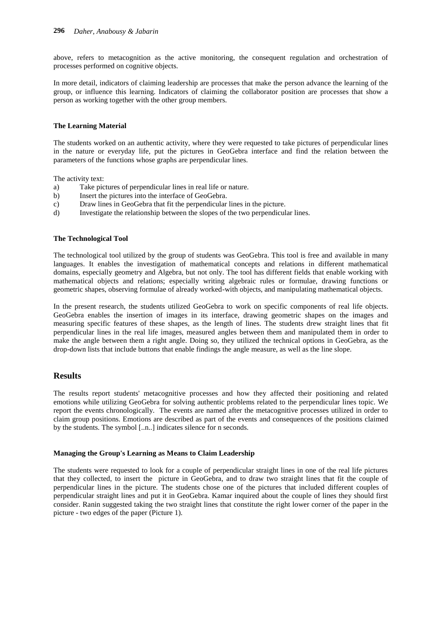above, refers to metacognition as the active monitoring, the consequent regulation and orchestration of processes performed on cognitive objects.

In more detail, indicators of claiming leadership are processes that make the person advance the learning of the group, or influence this learning. Indicators of claiming the collaborator position are processes that show a person as working together with the other group members.

#### **The Learning Material**

The students worked on an authentic activity, where they were requested to take pictures of perpendicular lines in the nature or everyday life, put the pictures in GeoGebra interface and find the relation between the parameters of the functions whose graphs are perpendicular lines.

The activity text:

- a) Take pictures of perpendicular lines in real life or nature.
- b) Insert the pictures into the interface of GeoGebra.
- c) Draw lines in GeoGebra that fit the perpendicular lines in the picture.
- d) Investigate the relationship between the slopes of the two perpendicular lines.

#### **The Technological Tool**

The technological tool utilized by the group of students was GeoGebra. This tool is free and available in many languages. It enables the investigation of mathematical concepts and relations in different mathematical domains, especially geometry and Algebra, but not only. The tool has different fields that enable working with mathematical objects and relations; especially writing algebraic rules or formulae, drawing functions or geometric shapes, observing formulae of already worked-with objects, and manipulating mathematical objects.

In the present research, the students utilized GeoGebra to work on specific components of real life objects. GeoGebra enables the insertion of images in its interface, drawing geometric shapes on the images and measuring specific features of these shapes, as the length of lines. The students drew straight lines that fit perpendicular lines in the real life images, measured angles between them and manipulated them in order to make the angle between them a right angle. Doing so, they utilized the technical options in GeoGebra, as the drop-down lists that include buttons that enable findings the angle measure, as well as the line slope.

### **Results**

The results report students' metacognitive processes and how they affected their positioning and related emotions while utilizing GeoGebra for solving authentic problems related to the perpendicular lines topic. We report the events chronologically. The events are named after the metacognitive processes utilized in order to claim group positions. Emotions are described as part of the events and consequences of the positions claimed by the students. The symbol [..n..] indicates silence for n seconds.

#### **Managing the Group's Learning as Means to Claim Leadership**

The students were requested to look for a couple of perpendicular straight lines in one of the real life pictures that they collected, to insert the picture in GeoGebra, and to draw two straight lines that fit the couple of perpendicular lines in the picture. The students chose one of the pictures that included different couples of perpendicular straight lines and put it in GeoGebra. Kamar inquired about the couple of lines they should first consider. Ranin suggested taking the two straight lines that constitute the right lower corner of the paper in the picture - two edges of the paper (Picture 1).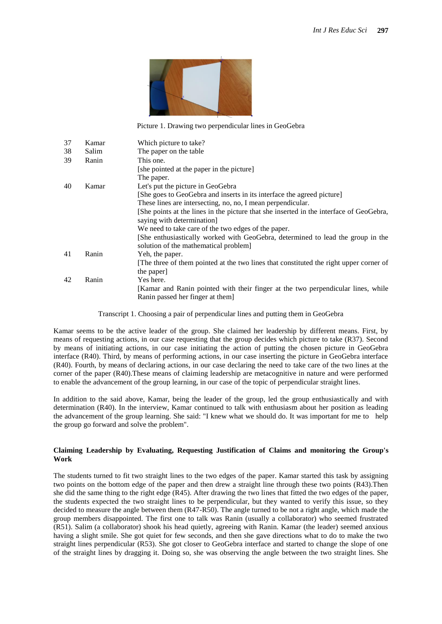

Picture 1. Drawing two perpendicular lines in GeoGebra

| 37          | Kamar | Which picture to take?                                                                  |
|-------------|-------|-----------------------------------------------------------------------------------------|
| 38          | Salim | The paper on the table                                                                  |
| 39          | Ranin | This one.                                                                               |
|             |       | [she pointed at the paper in the picture]                                               |
|             |       | The paper.                                                                              |
| 40<br>Kamar |       | Let's put the picture in GeoGebra                                                       |
|             |       | [She goes to GeoGebra and inserts in its interface the agreed picture]                  |
|             |       | These lines are intersecting, no, no, I mean perpendicular.                             |
|             |       | [She points at the lines in the picture that she inserted in the interface of GeoGebra, |
|             |       | saying with determination]                                                              |
|             |       | We need to take care of the two edges of the paper.                                     |
|             |       | [She enthusiastically worked with GeoGebra, determined to lead the group in the         |
|             |       | solution of the mathematical problem                                                    |
| 41          | Ranin | Yeh, the paper.                                                                         |
|             |       | The three of them pointed at the two lines that constituted the right upper corner of   |
|             |       | the paper                                                                               |
| 42          | Ranin | Yes here.                                                                               |
|             |       | [Kamar and Ranin pointed with their finger at the two perpendicular lines, while        |
|             |       | Ranin passed her finger at them                                                         |

Transcript 1. Choosing a pair of perpendicular lines and putting them in GeoGebra

Kamar seems to be the active leader of the group. She claimed her leadership by different means. First, by means of requesting actions, in our case requesting that the group decides which picture to take (R37). Second by means of initiating actions, in our case initiating the action of putting the chosen picture in GeoGebra interface (R40). Third, by means of performing actions, in our case inserting the picture in GeoGebra interface (R40). Fourth, by means of declaring actions, in our case declaring the need to take care of the two lines at the corner of the paper (R40).These means of claiming leadership are metacognitive in nature and were performed to enable the advancement of the group learning, in our case of the topic of perpendicular straight lines.

In addition to the said above, Kamar, being the leader of the group, led the group enthusiastically and with determination (R40). In the interview, Kamar continued to talk with enthusiasm about her position as leading the advancement of the group learning. She said: "I knew what we should do. It was important for me to help the group go forward and solve the problem".

#### **Claiming Leadership by Evaluating, Requesting Justification of Claims and monitoring the Group's Work**

The students turned to fit two straight lines to the two edges of the paper. Kamar started this task by assigning two points on the bottom edge of the paper and then drew a straight line through these two points (R43).Then she did the same thing to the right edge (R45). After drawing the two lines that fitted the two edges of the paper, the students expected the two straight lines to be perpendicular, but they wanted to verify this issue, so they decided to measure the angle between them (R47-R50). The angle turned to be not a right angle, which made the group members disappointed. The first one to talk was Ranin (usually a collaborator) who seemed frustrated (R51). Salim (a collaborator) shook his head quietly, agreeing with Ranin. Kamar (the leader) seemed anxious having a slight smile. She got quiet for few seconds, and then she gave directions what to do to make the two straight lines perpendicular (R53). She got closer to GeoGebra interface and started to change the slope of one of the straight lines by dragging it. Doing so, she was observing the angle between the two straight lines. She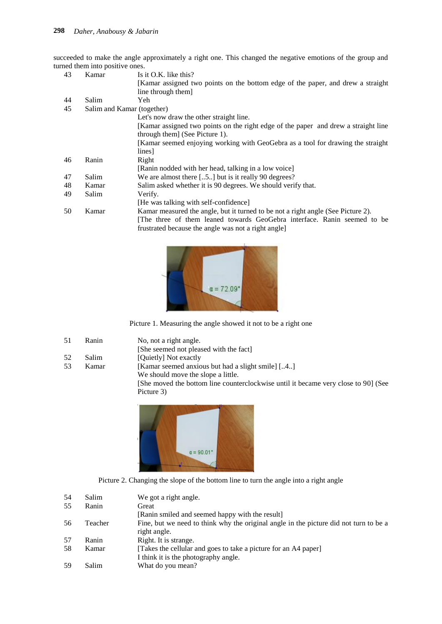succeeded to make the angle approximately a right one. This changed the negative emotions of the group and turned them into positive ones.

| 43 | Kamar                      | Is it O.K. like this?                                                              |
|----|----------------------------|------------------------------------------------------------------------------------|
|    |                            | [Kamar assigned two points on the bottom edge of the paper, and drew a straight    |
|    |                            | line through them]                                                                 |
| 44 | Salim                      | Yeh                                                                                |
| 45 | Salim and Kamar (together) |                                                                                    |
|    |                            | Let's now draw the other straight line.                                            |
|    |                            | [Kamar assigned two points on the right edge of the paper and drew a straight line |
|    |                            | through them (See Picture 1).                                                      |
|    |                            | [Kamar seemed enjoying working with GeoGebra as a tool for drawing the straight    |
|    |                            | lines]                                                                             |
| 46 | Ranin                      | Right                                                                              |
|    |                            | [Ranin nodded with her head, talking in a low voice]                               |
| 47 | Salim                      | We are almost there [5] but is it really 90 degrees?                               |
| 48 | Kamar                      | Salim asked whether it is 90 degrees. We should verify that.                       |
| 49 | Salim                      | Verify.                                                                            |
|    |                            | [He was talking with self-confidence]                                              |
| 50 | Kamar                      | Kamar measured the angle, but it turned to be not a right angle (See Picture 2).   |
|    |                            | The three of them leaned towards GeoGebra interface. Ranin seemed to be            |
|    |                            | frustrated because the angle was not a right angle                                 |
|    |                            |                                                                                    |



Picture 1. Measuring the angle showed it not to be a right one

- 51 Ranin No, not a right angle.
- [She seemed not pleased with the fact]
- 

52 Salim [Quietly] Not exactly 53 Kamar [Kamar seemed anxious but had a slight smile] [..4..] We should move the slope a little. [She moved the bottom line counterclockwise until it became very close to 90] (See Picture 3)





| 54 | Salim   | We got a right angle.                                                                 |
|----|---------|---------------------------------------------------------------------------------------|
| 55 | Ranin   | Great                                                                                 |
|    |         | [Ranin smiled and seemed happy with the result]                                       |
| 56 | Teacher | Fine, but we need to think why the original angle in the picture did not turn to be a |
|    |         | right angle.                                                                          |
| 57 | Ranin   | Right. It is strange.                                                                 |
| 58 | Kamar   | [Takes the cellular and goes to take a picture for an A4 paper]                       |
|    |         | I think it is the photography angle.                                                  |
| 59 | Salim   | What do you mean?                                                                     |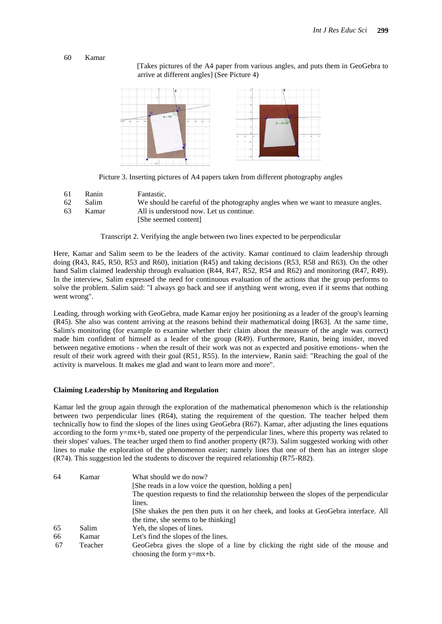#### 60 Kamar

 [Takes pictures of the A4 paper from various angles, and puts them in GeoGebra to arrive at different angles] (See Picture 4)



Picture 3. Inserting pictures of A4 papers taken from different photography angles

- 61 Ranin Fantastic.
- 62 Salim We should be careful of the photography angles when we want to measure angles.
- 63 Kamar All is understood now. Let us continue.
	- [She seemed content]

Transcript 2. Verifying the angle between two lines expected to be perpendicular

Here, Kamar and Salim seem to be the leaders of the activity. Kamar continued to claim leadership through doing (R43, R45, R50, R53 and R60), initiation (R45) and taking decisions (R53, R58 and R63). On the other hand Salim claimed leadership through evaluation (R44, R47, R52, R54 and R62) and monitoring (R47, R49). In the interview, Salim expressed the need for continuous evaluation of the actions that the group performs to solve the problem. Salim said: "I always go back and see if anything went wrong, even if it seems that nothing went wrong".

Leading, through working with GeoGebra, made Kamar enjoy her positioning as a leader of the group's learning (R45). She also was content arriving at the reasons behind their mathematical doing [R63]. At the same time, Salim's monitoring (for example to examine whether their claim about the measure of the angle was correct) made him confident of himself as a leader of the group (R49). Furthermore, Ranin, being insider, moved between negative emotions - when the result of their work was not as expected and positive emotions- when the result of their work agreed with their goal (R51, R55). In the interview, Ranin said: "Reaching the goal of the activity is marvelous. It makes me glad and want to learn more and more".

#### **Claiming Leadership by Monitoring and Regulation**

Kamar led the group again through the exploration of the mathematical phenomenon which is the relationship between two perpendicular lines (R64), stating the requirement of the question. The teacher helped them technically how to find the slopes of the lines using GeoGebra (R67). Kamar, after adjusting the lines equations according to the form y=mx+b, stated one property of the perpendicular lines, where this property was related to their slopes' values. The teacher urged them to find another property (R73). Salim suggested working with other lines to make the exploration of the phenomenon easier; namely lines that one of them has an integer slope (R74). This suggestion led the students to discover the required relationship (R75-R82).

| 64 | Kamar   | What should we do now?                                                                 |
|----|---------|----------------------------------------------------------------------------------------|
|    |         | [She reads in a low voice the question, holding a pen]                                 |
|    |         | The question requests to find the relationship between the slopes of the perpendicular |
|    |         | lines.                                                                                 |
|    |         | [She shakes the pen then puts it on her cheek, and looks at GeoGebra interface. All    |
|    |         | the time, she seems to be thinking.                                                    |
| 65 | Salim   | Yeh, the slopes of lines.                                                              |
| 66 | Kamar   | Let's find the slopes of the lines.                                                    |
| 67 | Teacher | GeoGebra gives the slope of a line by clicking the right side of the mouse and         |
|    |         | choosing the form $y=mx+b$ .                                                           |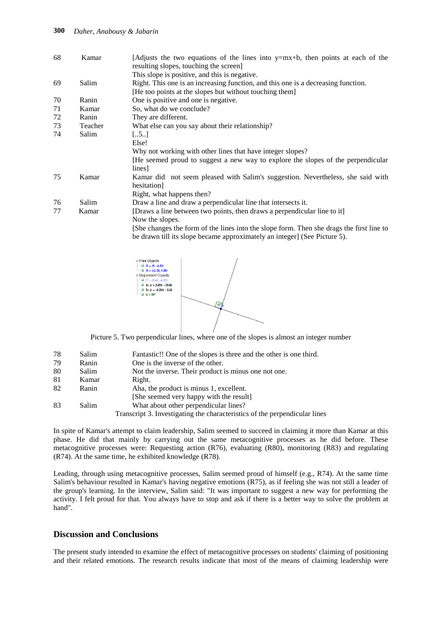#### **300** *Daher, Anabousy & Jabarin*

| 68 | Kamar   | [Adjusts the two equations of the lines into $y=mx+b$ , then points at each of the<br>resulting slopes, touching the screen |
|----|---------|-----------------------------------------------------------------------------------------------------------------------------|
|    |         | This slope is positive, and this is negative.                                                                               |
| 69 | Salim   | Right. This one is an increasing function, and this one is a decreasing function.                                           |
|    |         | [He too points at the slopes but without touching them]                                                                     |
| 70 | Ranin   | One is positive and one is negative.                                                                                        |
| 71 | Kamar   | So, what do we conclude?                                                                                                    |
| 72 | Ranin   | They are different.                                                                                                         |
| 73 | Teacher | What else can you say about their relationship?                                                                             |
| 74 | Salim   | $[5]$                                                                                                                       |
|    |         | Else!                                                                                                                       |
|    |         | Why not working with other lines that have integer slopes?                                                                  |
|    |         | [He seemed proud to suggest a new way to explore the slopes of the perpendicular                                            |
|    |         | lines]                                                                                                                      |
| 75 | Kamar   | Kamar did not seem pleased with Salim's suggestion. Nevertheless, she said with                                             |
|    |         | hesitation]                                                                                                                 |
|    |         | Right, what happens then?                                                                                                   |
| 76 | Salim   | Draw a line and draw a perpendicular line that intersects it.                                                               |
| 77 | Kamar   | [Draws a line between two points, then draws a perpendicular line to it]                                                    |
|    |         | Now the slopes.                                                                                                             |
|    |         | She changes the form of the lines into the slope form. Then she drags the first line to                                     |
|    |         | be drawn till its slope became approximately an integer] (See Picture 5).                                                   |



Picture 5. Two perpendicular lines, where one of the slopes is almost an integer number

| 78  | Salim | Fantastic!! One of the slopes is three and the other is one third.         |
|-----|-------|----------------------------------------------------------------------------|
| 79  | Ranin | One is the inverse of the other.                                           |
| -80 | Salim | Not the inverse. Their product is minus one not one.                       |
| 81  | Kamar | Right.                                                                     |
| 82  | Ranin | Aha, the product is minus 1, excellent.                                    |
|     |       | [She seemed very happy with the result]                                    |
| -83 | Salim | What about other perpendicular lines?                                      |
|     |       | Transcript 3. Investigating the characteristics of the perpendicular lines |

In spite of Kamar's attempt to claim leadership, Salim seemed to succeed in claiming it more than Kamar at this phase. He did that mainly by carrying out the same metacognitive processes as he did before. These metacognitive processes were: Requesting action (R76), evaluating (R80), monitoring (R83) and regulating (R74). At the same time, he exhibited knowledge (R78).

Leading, through using metacognitive processes, Salim seemed proud of himself (e.g., R74). At the same time Salim's behaviour resulted in Kamar's having negative emotions (R75), as if feeling she was not still a leader of the group's learning. In the interview, Salim said: "It was important to suggest a new way for performing the activity. I felt proud for that. You always have to stop and ask if there is a better way to solve the problem at hand".

## **Discussion and Conclusions**

The present study intended to examine the effect of metacognitive processes on students' claiming of positioning and their related emotions. The research results indicate that most of the means of claiming leadership were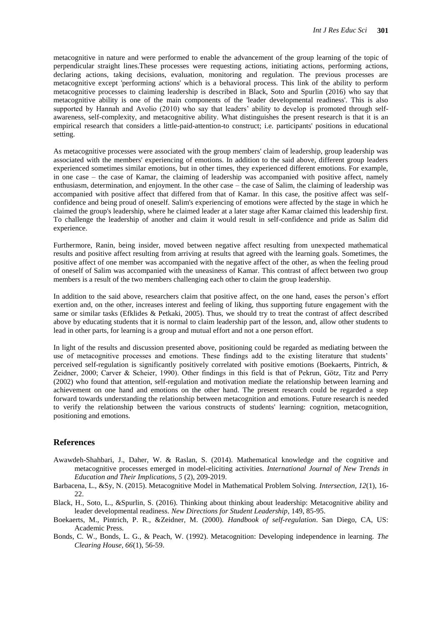metacognitive in nature and were performed to enable the advancement of the group learning of the topic of perpendicular straight lines.These processes were requesting actions, initiating actions, performing actions, declaring actions, taking decisions, evaluation, monitoring and regulation. The previous processes are metacognitive except 'performing actions' which is a behavioral process. This link of the ability to perform metacognitive processes to claiming leadership is described in Black, Soto and Spurlin (2016) who say that metacognitive ability is one of the main components of the 'leader developmental readiness'. This is also supported by Hannah and Avolio (2010) who say that leaders' ability to develop is promoted through selfawareness, self-complexity, and metacognitive ability. What distinguishes the present research is that it is an empirical research that considers a little-paid-attention-to construct; i.e. participants' positions in educational setting.

As metacognitive processes were associated with the group members' claim of leadership, group leadership was associated with the members' experiencing of emotions. In addition to the said above, different group leaders experienced sometimes similar emotions, but in other times, they experienced different emotions. For example, in one case – the case of Kamar, the claiming of leadership was accompanied with positive affect, namely enthusiasm, determination, and enjoyment. In the other case – the case of Salim, the claiming of leadership was accompanied with positive affect that differed from that of Kamar. In this case, the positive affect was selfconfidence and being proud of oneself. Salim's experiencing of emotions were affected by the stage in which he claimed the group's leadership, where he claimed leader at a later stage after Kamar claimed this leadership first. To challenge the leadership of another and claim it would result in self-confidence and pride as Salim did experience.

Furthermore, Ranin, being insider, moved between negative affect resulting from unexpected mathematical results and positive affect resulting from arriving at results that agreed with the learning goals. Sometimes, the positive affect of one member was accompanied with the negative affect of the other, as when the feeling proud of oneself of Salim was accompanied with the uneasiness of Kamar. This contrast of affect between two group members is a result of the two members challenging each other to claim the group leadership.

In addition to the said above, researchers claim that positive affect, on the one hand, eases the person's effort exertion and, on the other, increases interest and feeling of liking, thus supporting future engagement with the same or similar tasks (Efklides & Petkaki, 2005). Thus, we should try to treat the contrast of affect described above by educating students that it is normal to claim leadership part of the lesson, and, allow other students to lead in other parts, for learning is a group and mutual effort and not a one person effort.

In light of the results and discussion presented above, positioning could be regarded as mediating between the use of metacognitive processes and emotions. These findings add to the existing literature that students" perceived self-regulation is significantly positively correlated with positive emotions (Boekaerts, Pintrich, & Zeidner, 2000; Carver & Scheier, 1990). Other findings in this field is that of Pekrun, Götz, Titz and Perry (2002) who found that attention, self-regulation and motivation mediate the relationship between learning and achievement on one hand and emotions on the other hand. The present research could be regarded a step forward towards understanding the relationship between metacognition and emotions. Future research is needed to verify the relationship between the various constructs of students' learning: cognition, metacognition, positioning and emotions.

## **References**

- Awawdeh-Shahbari, J., Daher, W. & Raslan, S. (2014). Mathematical knowledge and the cognitive and metacognitive processes emerged in model-eliciting activities. *International Journal of New Trends in Education and Their Implications, 5* (2), 209-2019.
- Barbacena, L., &Sy, N. (2015). Metacognitive Model in Mathematical Problem Solving. *Intersection, 12*(1), 16- 22.
- Black, H., Soto, L., &Spurlin, S. (2016). Thinking about thinking about leadership: Metacognitive ability and leader developmental readiness. *New Directions for Student Leadership*, 149, 85-95.
- Boekaerts, M., Pintrich, P. R., &Zeidner, M. (2000). *Handbook of self-regulation*. San Diego, CA, US: Academic Press.
- Bonds, C. W., Bonds, L. G., & Peach, W. (1992). Metacognition: Developing independence in learning. *The Clearing House, 66*(1), 56-59.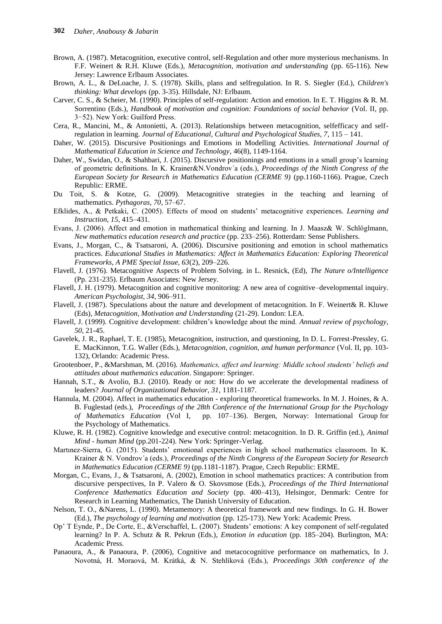- Brown, A. (1987). Metacognition, executive control, self-Regulation and other more mysterious mechanisms. In F.F. Weinert & R.H. Kluwe (Eds.), *Metacognition, motivation and understanding* (pp. 65-116). New Jersey: Lawrence Erlbaum Associates.
- Brown, A. L., & DeLoache, J. S. (1978). Skills, plans and selfregulation. In R. S. Siegler (Ed.), *Children's thinking: What develops* (pp. 3-35). Hillsdale, NJ: Erlbaum.
- Carver, C. S., & Scheier, M. (1990). Principles of self-regulation: Action and emotion. In E. T. Higgins & R. M. Sorrentino (Eds.), *Handbook of motivation and cognition: Foundations of social behavior* (Vol. II, pp. 3−52). New York: Guilford Press.
- Cera, R., Mancini, M., & Antonietti, A. (2013). Relationships between metacognition, selfefficacy and selfregulation in learning. *Journal of Educational, Cultural and Psychological Studies, 7*, 115 – 141.
- Daher, W. (2015). Discursive Positionings and Emotions in Modelling Activities. *International Journal of Mathematical Education in Science and Technology*, 46(8), 1149-1164.
- Daher, W., Swidan, O., & Shahbari, J. (2015). Discursive positionings and emotions in a small group"s learning of geometric definitions. In K. Krainer&N.Vondrov´a (eds.), *Proceedings of the Ninth Congress of the European Society for Research in Mathematics Education (CERME 9)* (pp.1160-1166). Prague, Czech Republic: ERME.
- Du Toit, S. & Kotze, G. (2009). Metacognitive strategies in the teaching and learning of mathematics. *Pythagoras, 70*, 57–67.
- Efklides, A., & Petkaki, C. (2005). Effects of mood on students" metacognitive experiences. *Learning and Instruction, 15*, 415–431.
- Evans, J. (2006). Affect and emotion in mathematical thinking and learning. In J. Maasz& W. Schlöglmann, *New mathematics education research and practice* (pp. 233–256). Rotterdam: Sense Publishers.
- Evans, J., Morgan, C., & Tsatsaroni, A. (2006). Discursive positioning and emotion in school mathematics practices. *Educational Studies in Mathematics: Affect in Mathematics Education: Exploring Theoretical Frameworks, A PME Special Issue, 63*(2), 209–226.
- Flavell, J. (1976). Metacognitive Aspects of Problem Solving. in L. Resnick, (Ed), *The Nature o/Intelligence* (Pp. 231-235). Erlbaum Associates: New Jersey.
- Flavell, J. H. (1979). Metacognition and cognitive monitoring: A new area of cognitive–developmental inquiry. *American Psychologist, 34*, 906–911.
- Flavell, J. (1987). Speculations about the nature and development of metacognition. In F. Weinert& R. Kluwe (Eds), *Metacognition, Motivation and Understanding* (21-29). London: LEA.
- Flavell, J. (1999). Cognitive development: children"s knowledge about the mind. *Annual review of psychology, 50*, 21-45.
- Gavelek, J. R., Raphael, T. E. (1985), Metacognition, instruction, and questioning, In D. L. Forrest-Pressley, G. E. MacKinnon, T.G. Waller (Eds.), *Metacognition, cognition, and human performance* (Vol. II, pp. 103- 132), Orlando: Academic Press.
- Grootenboer, P., &Marshman, M. (2016). *Mathematics, affect and learning: Middle school students' beliefs and attitudes about mathematics education*. Singapore: Springer.
- Hannah, S.T., & Avolio, B.J. (2010). Ready or not: How do we accelerate the developmental readiness of leaders? *Journal of Organizational Behavior, 31*, 1181-1187.
- Hannula, M. (2004). Affect in mathematics education exploring theoretical frameworks. In M. J. Hoines, & A. B. Fuglestad (eds.), *Proceedings of the 28th Conference of the International Group for the Psychology of Mathematics Education* (Vol I, pp. 107–136). Bergen, Norway: International Group for the Psychology of Mathematics.
- Kluwe, R. H. (1982). Cognitive knowledge and executive control: metacognition. In D. R. Griffin (ed.), *Animal Mind - human Mind* (pp.201-224). New York: Springer-Verlag.
- Martınez-Sierra, G. (2015). Students" emotional experiences in high school mathematics classroom. In K. Krainer & N. Vondrov´a (eds.), *Proceedings of the Ninth Congress of the European Society for Research in Mathematics Education (CERME 9)* (pp.1181-1187). Prague, Czech Republic: ERME.
- Morgan, C., Evans, J., & Tsatsaroni, A. (2002), Emotion in school mathematics practices: A contribution from discursive perspectives, In P. Valero & O. Skovsmose (Eds.), *Proceedings of the Third International Conference Mathematics Education and Society* (pp. 400–413), Helsingor, Denmark: Centre for Research in Learning Mathematics, The Danish University of Education.
- Nelson, T. O., &Narens, L. (1990). Metamemory: A theoretical framework and new findings. In G. H. Bower (Ed.), *The psychology of learning and motivation* (pp. 125-173). New York: Academic Press.
- Op" T Eynde, P., De Corte, E., &Verschaffel, L. (2007). Students" emotions: A key component of self-regulated learning? In P. A. Schutz & R. Pekrun (Eds.), *Emotion in education* (pp. 185–204). Burlington, MA: Academic Press.
- Panaoura, A., & Panaoura, P. (2006), Cognitive and metacocognitive performance on mathematics, In J. Novotná, H. Moraová, M. Krátká, & N. Stehlíková (Eds.), *Proceedings 30th conference of the*